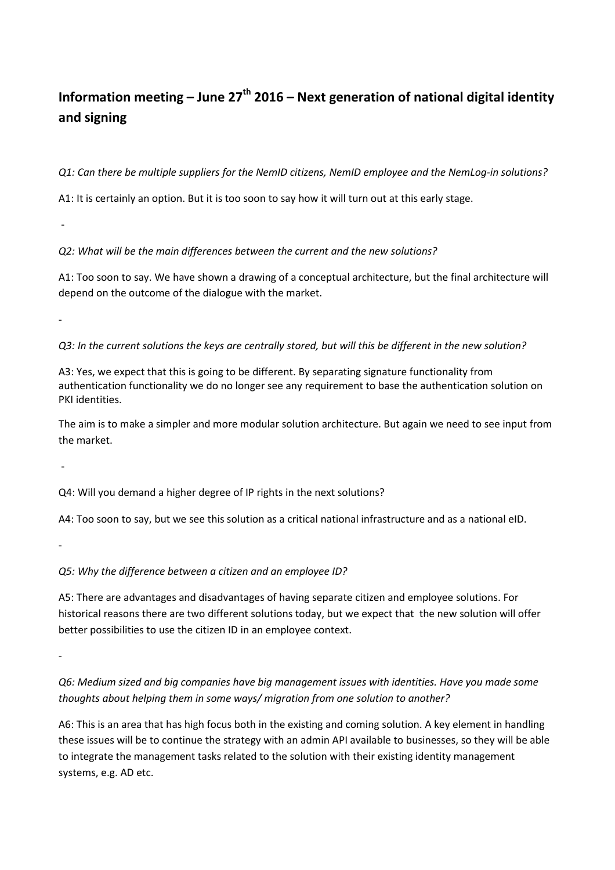## **Information meeting – June 27th 2016 – Next generation of national digital identity and signing**

*Q1: Can there be multiple suppliers for the NemID citizens, NemID employee and the NemLog-in solutions?*

A1: It is certainly an option. But it is too soon to say how it will turn out at this early stage.

*Q2: What will be the main differences between the current and the new solutions?* 

A1: Too soon to say. We have shown a drawing of a conceptual architecture, but the final architecture will depend on the outcome of the dialogue with the market.

-

-

*Q3: In the current solutions the keys are centrally stored, but will this be different in the new solution?* 

A3: Yes, we expect that this is going to be different. By separating signature functionality from authentication functionality we do no longer see any requirement to base the authentication solution on PKI identities.

The aim is to make a simpler and more modular solution architecture. But again we need to see input from the market.

-

Q4: Will you demand a higher degree of IP rights in the next solutions?

A4: Too soon to say, but we see this solution as a critical national infrastructure and as a national eID.

-

*Q5: Why the difference between a citizen and an employee ID?* 

A5: There are advantages and disadvantages of having separate citizen and employee solutions. For historical reasons there are two different solutions today, but we expect that the new solution will offer better possibilities to use the citizen ID in an employee context.

-

*Q6: Medium sized and big companies have big management issues with identities. Have you made some thoughts about helping them in some ways/ migration from one solution to another?* 

A6: This is an area that has high focus both in the existing and coming solution. A key element in handling these issues will be to continue the strategy with an admin API available to businesses, so they will be able to integrate the management tasks related to the solution with their existing identity management systems, e.g. AD etc.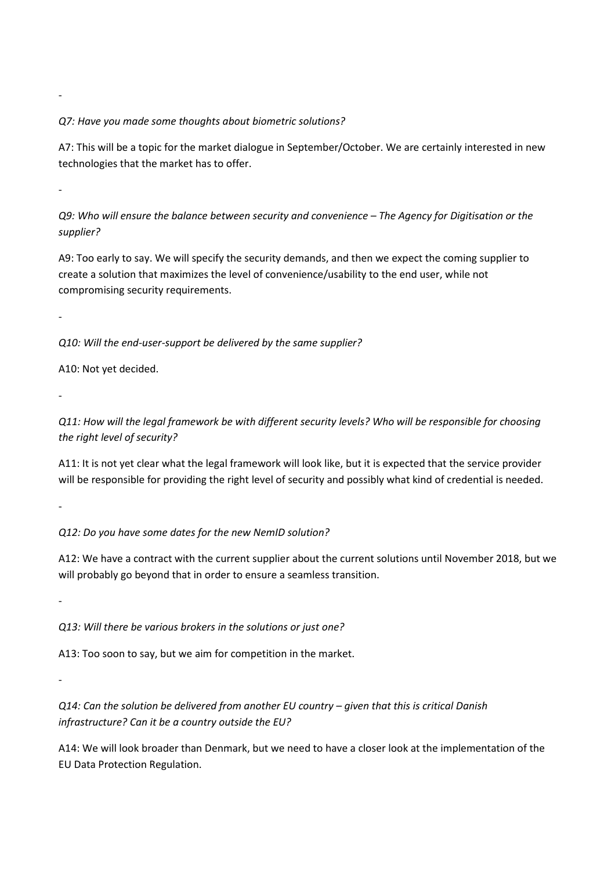## *Q7: Have you made some thoughts about biometric solutions?*

A7: This will be a topic for the market dialogue in September/October. We are certainly interested in new technologies that the market has to offer.

-

-

*Q9: Who will ensure the balance between security and convenience – The Agency for Digitisation or the supplier?* 

A9: Too early to say. We will specify the security demands, and then we expect the coming supplier to create a solution that maximizes the level of convenience/usability to the end user, while not compromising security requirements.

-

*Q10: Will the end-user-support be delivered by the same supplier?* 

A10: Not yet decided.

-

*Q11: How will the legal framework be with different security levels? Who will be responsible for choosing the right level of security?* 

A11: It is not yet clear what the legal framework will look like, but it is expected that the service provider will be responsible for providing the right level of security and possibly what kind of credential is needed.

-

*Q12: Do you have some dates for the new NemID solution?* 

A12: We have a contract with the current supplier about the current solutions until November 2018, but we will probably go beyond that in order to ensure a seamless transition.

-

-

*Q13: Will there be various brokers in the solutions or just one?* 

A13: Too soon to say, but we aim for competition in the market.

*Q14: Can the solution be delivered from another EU country – given that this is critical Danish infrastructure? Can it be a country outside the EU?* 

A14: We will look broader than Denmark, but we need to have a closer look at the implementation of the EU Data Protection Regulation.